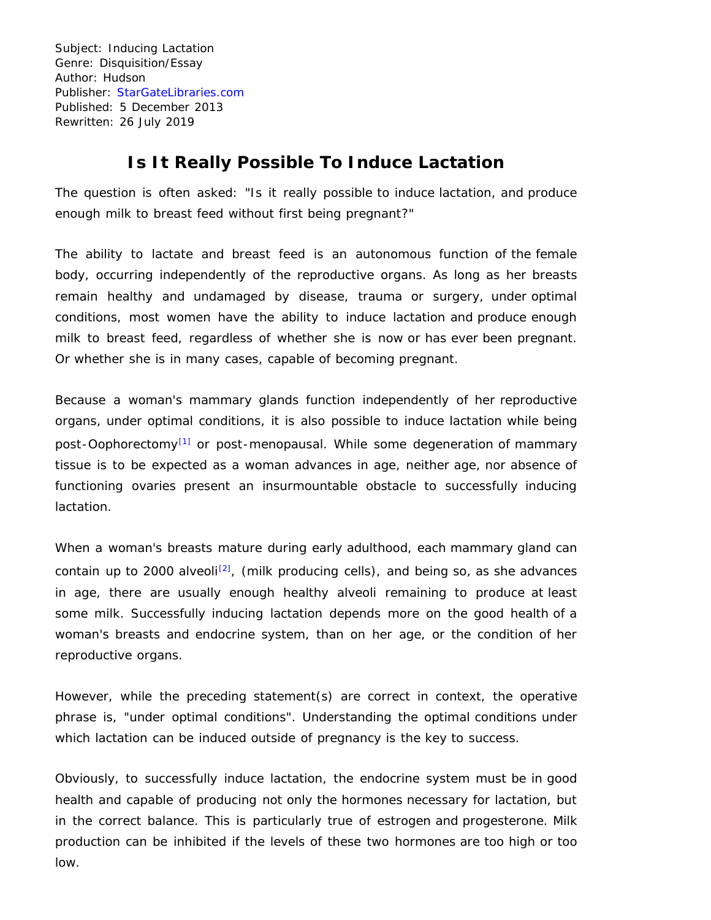Subject: Inducing Lactation Genre: Disquisition/Essay Author: Hudson Publisher: [StarGateLibraries.com](http://stargatelibraries.com/) Published: 5 December 2013 Rewritten: 26 July 2019

## **Is It Really Possible To Induce Lactation**

The question is often asked: "Is it really possible to induce lactation, and produce enough milk to breast feed without first being pregnant?"

The ability to lactate and breast feed is an autonomous function of the female body, occurring independently of the reproductive organs. As long as her breasts remain healthy and undamaged by disease, trauma or surgery, under optimal conditions, most women have the ability to induce lactation and produce enough milk to breast feed, regardless of whether she is now or has ever been pregnant. Or whether she is in many cases, capable of becoming pregnant.

Because a woman's mammary glands function independently of her reproductive organs, under optimal conditions, it is also possible to induce lactation while being post-Oophorectomy<sup>[1]</sup> or post-menopausal. While some degeneration of mammary tissue is to be expected as a woman advances in age, neither age, nor absence of functioning ovaries present an insurmountable obstacle to successfully inducing lactation.

When a woman's breasts mature during early adulthood, each mammary gland can contain up to 2000 alveoli<sup>[2]</sup>, (milk producing cells), and being so, as she advances in age, there are usually enough healthy alveoli remaining to produce at least some milk. Successfully inducing lactation depends more on the good health of a woman's breasts and endocrine system, than on her age, or the condition of her reproductive organs.

However, while the preceding statement(s) are correct in context, the operative phrase is, "under optimal conditions". Understanding the optimal conditions under which lactation can be induced outside of pregnancy is the key to success.

Obviously, to successfully induce lactation, the endocrine system must be in good health and capable of producing not only the hormones necessary for lactation, but in the correct balance. This is particularly true of estrogen and progesterone. Milk production can be inhibited if the levels of these two hormones are too high or too low.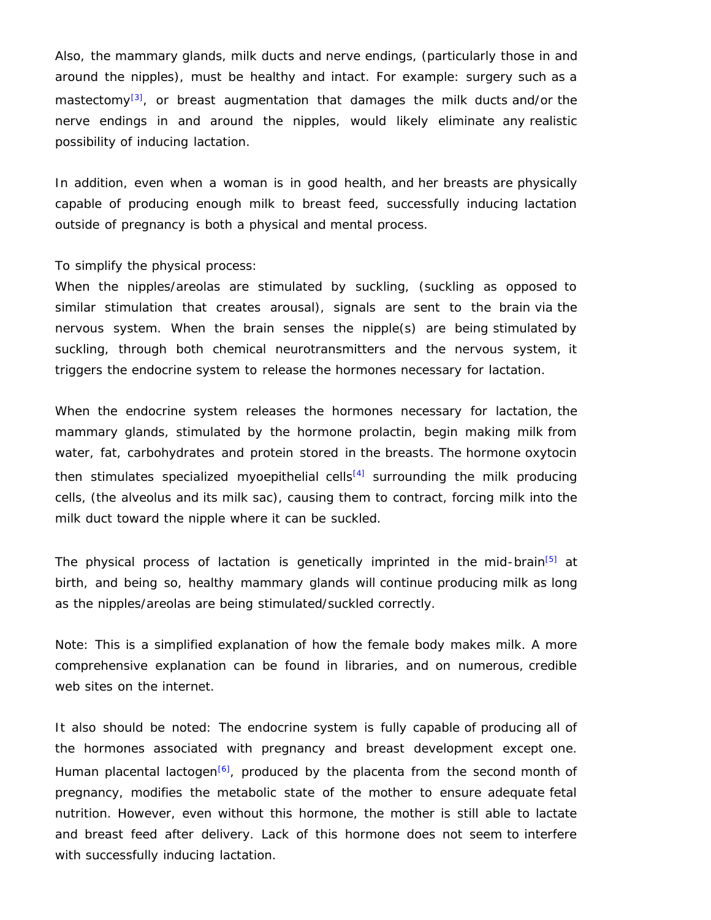Also, the mammary glands, milk ducts and nerve endings, (particularly those in and around the nipples), must be healthy and intact. For example: surgery such as a mastectomy<sup>[3]</sup>, or breast augmentation that damages the milk ducts and/or the nerve endings in and around the nipples, would likely eliminate any realistic possibility of inducing lactation.

In addition, even when a woman is in good health, and her breasts are physically capable of producing enough milk to breast feed, successfully inducing lactation outside of pregnancy is both a physical and mental process.

To simplify the physical process:

When the nipples/areolas are stimulated by suckling, (suckling as opposed to similar stimulation that creates arousal), signals are sent to the brain via the nervous system. When the brain senses the nipple(s) are being stimulated by suckling, through both chemical neurotransmitters and the nervous system, it triggers the endocrine system to release the hormones necessary for lactation.

When the endocrine system releases the hormones necessary for lactation, the mammary glands, stimulated by the hormone prolactin, begin making milk from water, fat, carbohydrates and protein stored in the breasts. The hormone oxytocin then stimulates specialized myoepithelial cells<sup>[4]</sup> surrounding the milk producing cells, (the alveolus and its milk sac), causing them to contract, forcing milk into the milk duct toward the nipple where it can be suckled.

The physical process of lactation is genetically imprinted in the mid-brain<sup>[5]</sup> at birth, and being so, healthy mammary glands will continue producing milk as long as the nipples/areolas are being stimulated/suckled correctly.

Note: This is a simplified explanation of how the female body makes milk. A more comprehensive explanation can be found in libraries, and on numerous, credible web sites on the internet.

It also should be noted: The endocrine system is fully capable of producing all of the hormones associated with pregnancy and breast development except one. Human placental lactogen<sup>[6]</sup>, produced by the placenta from the second month of pregnancy, modifies the metabolic state of the mother to ensure adequate fetal nutrition. However, even without this hormone, the mother is still able to lactate and breast feed after delivery. Lack of this hormone does not seem to interfere with successfully inducing lactation.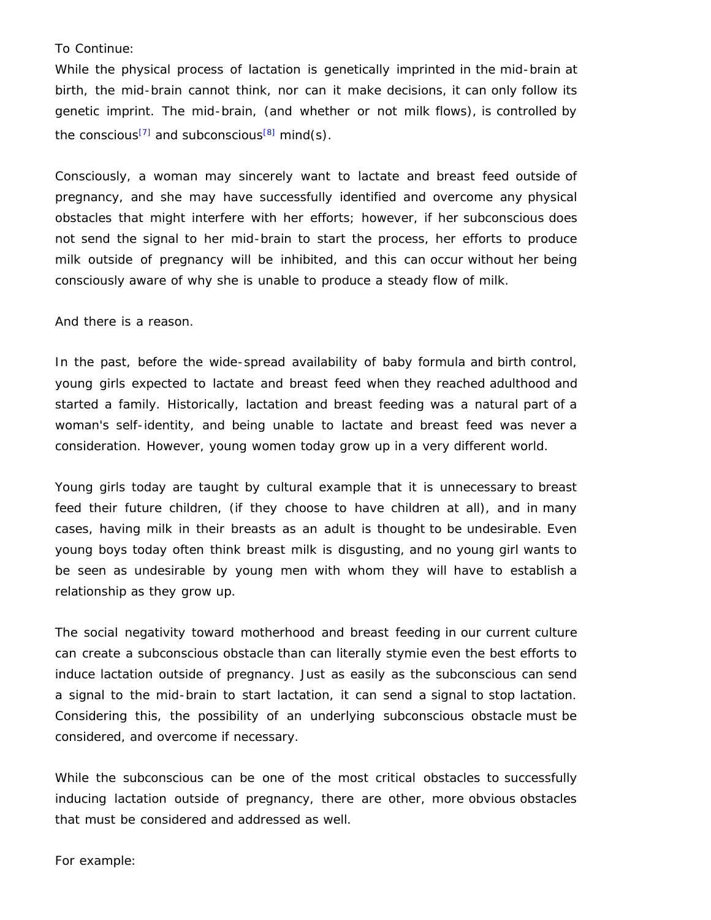## To Continue:

While the physical process of lactation is genetically imprinted in the mid-brain at birth, the mid-brain cannot think, nor can it make decisions, it can only follow its genetic imprint. The mid-brain, (and whether or not milk flows), is controlled by the conscious<sup>[7]</sup> and subconscious<sup>[8]</sup> mind(s).

Consciously, a woman may sincerely want to lactate and breast feed outside of pregnancy, and she may have successfully identified and overcome any physical obstacles that might interfere with her efforts; however, if her subconscious does not send the signal to her mid-brain to start the process, her efforts to produce milk outside of pregnancy will be inhibited, and this can occur without her being consciously aware of why she is unable to produce a steady flow of milk.

And there is a reason.

In the past, before the wide-spread availability of baby formula and birth control, young girls expected to lactate and breast feed when they reached adulthood and started a family. Historically, lactation and breast feeding was a natural part of a woman's self-identity, and being unable to lactate and breast feed was never a consideration. However, young women today grow up in a very different world.

Young girls today are taught by cultural example that it is unnecessary to breast feed their future children, (if they choose to have children at all), and in many cases, having milk in their breasts as an adult is thought to be undesirable. Even young boys today often think breast milk is disgusting, and no young girl wants to be seen as undesirable by young men with whom they will have to establish a relationship as they grow up.

The social negativity toward motherhood and breast feeding in our current culture can create a subconscious obstacle than can literally stymie even the best efforts to induce lactation outside of pregnancy. Just as easily as the subconscious can send a signal to the mid-brain to start lactation, it can send a signal to stop lactation. Considering this, the possibility of an underlying subconscious obstacle must be considered, and overcome if necessary.

While the subconscious can be one of the most critical obstacles to successfully inducing lactation outside of pregnancy, there are other, more obvious obstacles that must be considered and addressed as well.

For example: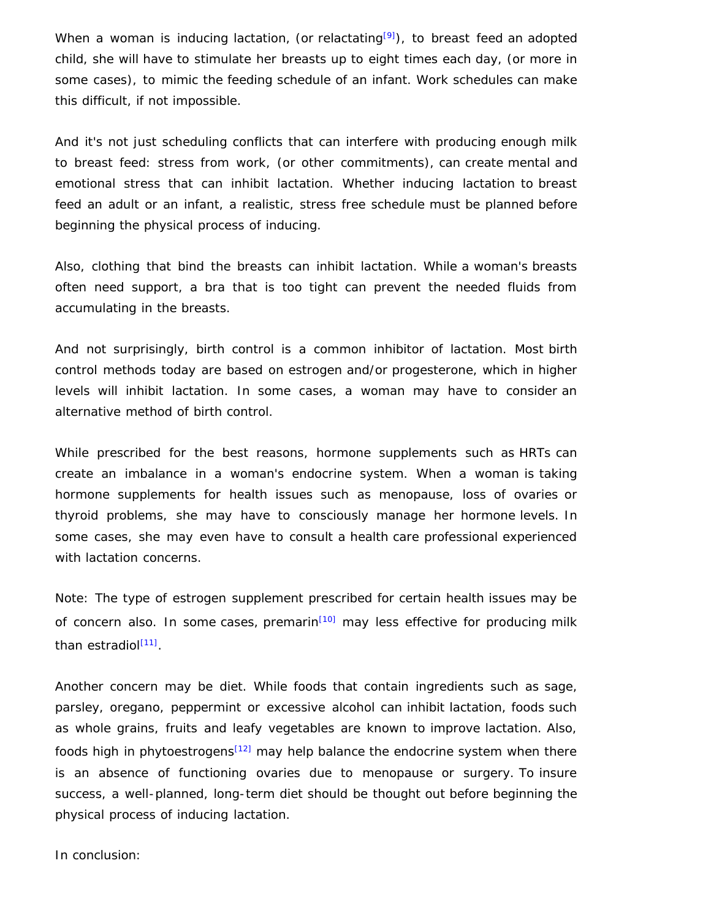When a woman is inducing lactation, (or relactating<sup>[9]</sup>), to breast feed an adopted child, she will have to stimulate her breasts up to eight times each day, (or more in some cases), to mimic the feeding schedule of an infant. Work schedules can make this difficult, if not impossible.

And it's not just scheduling conflicts that can interfere with producing enough milk to breast feed: stress from work, (or other commitments), can create mental and emotional stress that can inhibit lactation. Whether inducing lactation to breast feed an adult or an infant, a realistic, stress free schedule must be planned before beginning the physical process of inducing.

Also, clothing that bind the breasts can inhibit lactation. While a woman's breasts often need support, a bra that is too tight can prevent the needed fluids from accumulating in the breasts.

And not surprisingly, birth control is a common inhibitor of lactation. Most birth control methods today are based on estrogen and/or progesterone, which in higher levels will inhibit lactation. In some cases, a woman may have to consider an alternative method of birth control.

While prescribed for the best reasons, hormone supplements such as HRTs can create an imbalance in a woman's endocrine system. When a woman is taking hormone supplements for health issues such as menopause, loss of ovaries or thyroid problems, she may have to consciously manage her hormone levels. In some cases, she may even have to consult a health care professional experienced with lactation concerns.

Note: The type of estrogen supplement prescribed for certain health issues may be of concern also. In some cases, premarin<sup>[10]</sup> may less effective for producing milk than estradiol<sup>[11]</sup>.

Another concern may be diet. While foods that contain ingredients such as sage, parsley, oregano, peppermint or excessive alcohol can inhibit lactation, foods such as whole grains, fruits and leafy vegetables are known to improve lactation. Also, foods high in phytoestrogens<sup>[12]</sup> may help balance the endocrine system when there is an absence of functioning ovaries due to menopause or surgery. To insure success, a well-planned, long-term diet should be thought out before beginning the physical process of inducing lactation.

In conclusion: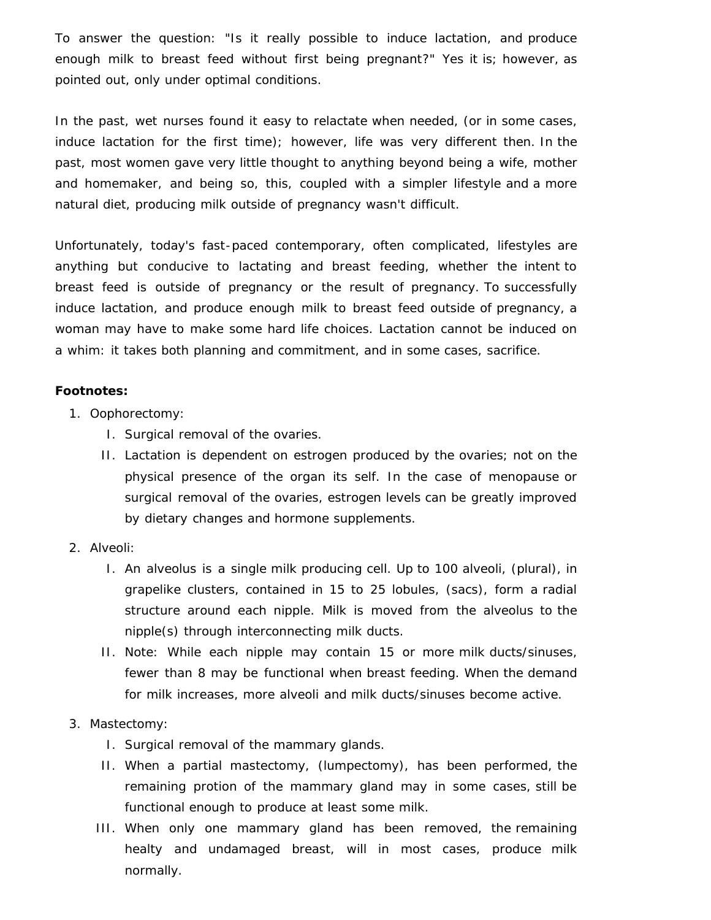To answer the question: "Is it really possible to induce lactation, and produce enough milk to breast feed without first being pregnant?" Yes it is; however, as pointed out, only under optimal conditions.

In the past, wet nurses found it easy to relactate when needed, (or in some cases, induce lactation for the first time); however, life was very different then. In the past, most women gave very little thought to anything beyond being a wife, mother and homemaker, and being so, this, coupled with a simpler lifestyle and a more natural diet, producing milk outside of pregnancy wasn't difficult.

Unfortunately, today's fast-paced contemporary, often complicated, lifestyles are anything but conducive to lactating and breast feeding, whether the intent to breast feed is outside of pregnancy or the result of pregnancy. To successfully induce lactation, and produce enough milk to breast feed outside of pregnancy, a woman may have to make some hard life choices. Lactation cannot be induced on a whim: it takes both planning and commitment, and in some cases, sacrifice.

## **Footnotes:**

- 1. Oophorectomy:
	- I. Surgical removal of the ovaries.
	- II. Lactation is dependent on estrogen produced by the ovaries; not on the physical presence of the organ its self. In the case of menopause or surgical removal of the ovaries, estrogen levels can be greatly improved by dietary changes and hormone supplements.
- 2. Alveoli:
	- I. An alveolus is a single milk producing cell. Up to 100 alveoli, (plural), in grapelike clusters, contained in 15 to 25 lobules, (sacs), form a radial structure around each nipple. Milk is moved from the alveolus to the nipple(s) through interconnecting milk ducts.
	- II. Note: While each nipple may contain 15 or more milk ducts/sinuses, fewer than 8 may be functional when breast feeding. When the demand for milk increases, more alveoli and milk ducts/sinuses become active.
- 3. Mastectomy:
	- I. Surgical removal of the mammary glands.
	- II. When a partial mastectomy, (lumpectomy), has been performed, the remaining protion of the mammary gland may in some cases, still be functional enough to produce at least some milk.
	- III. When only one mammary gland has been removed, the remaining healty and undamaged breast, will in most cases, produce milk normally.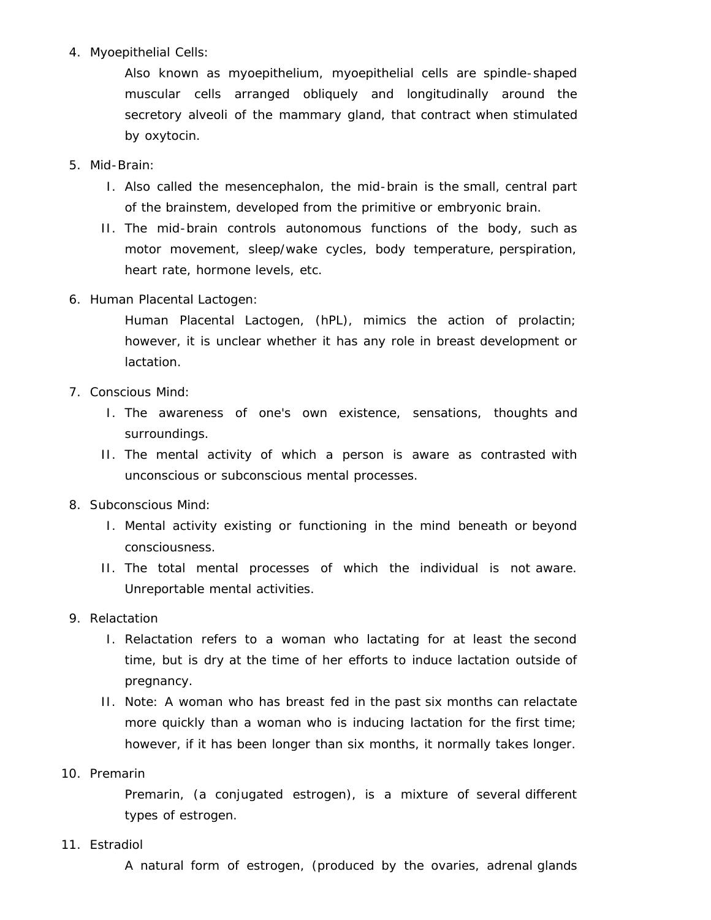4. Myoepithelial Cells:

Also known as myoepithelium, myoepithelial cells are spindle-shaped muscular cells arranged obliquely and longitudinally around the secretory alveoli of the mammary gland, that contract when stimulated by oxytocin.

- 5. Mid-Brain:
	- I. Also called the mesencephalon, the mid-brain is the small, central part of the brainstem, developed from the primitive or embryonic brain.
	- II. The mid-brain controls autonomous functions of the body, such as motor movement, sleep/wake cycles, body temperature, perspiration, heart rate, hormone levels, etc.
- 6. Human Placental Lactogen:

Human Placental Lactogen, (hPL), mimics the action of prolactin; however, it is unclear whether it has any role in breast development or lactation.

- 7. Conscious Mind:
	- I. The awareness of one's own existence, sensations, thoughts and surroundings.
	- II. The mental activity of which a person is aware as contrasted with unconscious or subconscious mental processes.
- 8. Subconscious Mind:
	- I. Mental activity existing or functioning in the mind beneath or beyond consciousness.
	- II. The total mental processes of which the individual is not aware. Unreportable mental activities.
- 9. Relactation
	- I. Relactation refers to a woman who lactating for at least the second time, but is dry at the time of her efforts to induce lactation outside of pregnancy.
	- II. Note: A woman who has breast fed in the past six months can relactate more quickly than a woman who is inducing lactation for the first time; however, if it has been longer than six months, it normally takes longer.
- 10. Premarin

Premarin, (a conjugated estrogen), is a mixture of several different types of estrogen.

11. Estradiol

A natural form of estrogen, (produced by the ovaries, adrenal glands